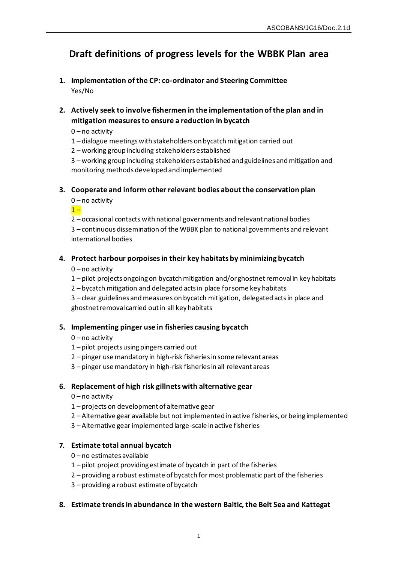# **Draft definitions of progress levels for the WBBK Plan area**

- **1. Implementation of the CP: co-ordinator and Steering Committee** Yes/No
- **2. Actively seek to involve fishermen in the implementation of the plan and in mitigation measures to ensure a reduction in bycatch**
	- 0 no activity
	- 1 dialogue meetings with stakeholders on bycatch mitigation carried out
	- 2 working group including stakeholders established

3 – working group including stakeholders established and guidelines and mitigation and monitoring methods developed and implemented

## **3. Cooperate and inform other relevant bodies about the conservation plan**

0 – no activity

 $1 -$ 

2 – occasional contacts with national governments and relevant national bodies

3 – continuous dissemination of the WBBK plan to national governments and relevant international bodies

## **4. Protect harbour porpoises in their key habitats by minimizing bycatch**

- 0 no activity
- 1 pilot projects ongoing on bycatch mitigation and/or ghostnet removal in key habitats
- 2 bycatch mitigation and delegated acts in place for some key habitats

3 – clear guidelines and measures on bycatch mitigation, delegated acts in place and ghostnet removal carried out in all key habitats

#### **5. Implementing pinger use in fisheries causing bycatch**

- 0 no activity
- 1 pilot projects using pingers carried out
- 2 pinger use mandatory in high-risk fisheries in some relevant areas
- 3 pinger use mandatory in high-risk fisheries in all relevant areas

#### **6. Replacement of high risk gillnets with alternative gear**

- $0$  no activity
- 1 projects on development of alternative gear
- 2 Alternative gear available but not implemented in active fisheries, or being implemented
- 3 Alternative gear implemented large-scale in active fisheries

#### **7. Estimate total annual bycatch**

- 0 no estimates available
- 1 pilot project providing estimate of bycatch in part of the fisheries
- 2 providing a robust estimate of bycatch for most problematic part of the fisheries
- 3 providing a robust estimate of bycatch

#### **8. Estimate trends in abundance in the western Baltic, the Belt Sea and Kattegat**